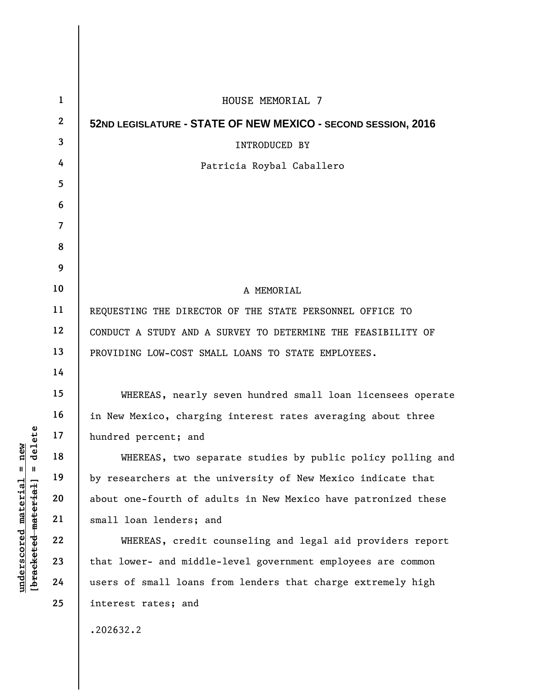| $\mathbf{1}$ | HOUSE MEMORIAL 7                                               |
|--------------|----------------------------------------------------------------|
| $\mathbf{2}$ | 52ND LEGISLATURE - STATE OF NEW MEXICO - SECOND SESSION, 2016  |
| 3            | <b>INTRODUCED BY</b>                                           |
| 4            | Patricia Roybal Caballero                                      |
| 5            |                                                                |
| 6            |                                                                |
| 7            |                                                                |
| 8            |                                                                |
| 9            |                                                                |
| 10           | A MEMORIAL                                                     |
| 11           | REQUESTING THE DIRECTOR OF THE STATE PERSONNEL OFFICE TO       |
| 12           | CONDUCT A STUDY AND A SURVEY TO DETERMINE THE FEASIBILITY OF   |
| 13           | PROVIDING LOW-COST SMALL LOANS TO STATE EMPLOYEES.             |
| 14           |                                                                |
| 15           | WHEREAS, nearly seven hundred small loan licensees operate     |
| 16           | in New Mexico, charging interest rates averaging about three   |
| 17           | hundred percent; and                                           |
| 18           | WHEREAS, two separate studies by public policy polling and     |
| 19           | by researchers at the university of New Mexico indicate that   |
| 20           | about one-fourth of adults in New Mexico have patronized these |
| 21           | small loan lenders; and                                        |
| 22           | WHEREAS, credit counseling and legal aid providers report      |
| 23           | that lower- and middle-level government employees are common   |
| 24           | users of small loans from lenders that charge extremely high   |
| 25           | interest rates; and                                            |
|              | .202632.2                                                      |
|              |                                                                |

 $[**bracket eted metert et**] = **del et e**$ **[bracketed material] = delete**  $underscored material = new$ **underscored material = new**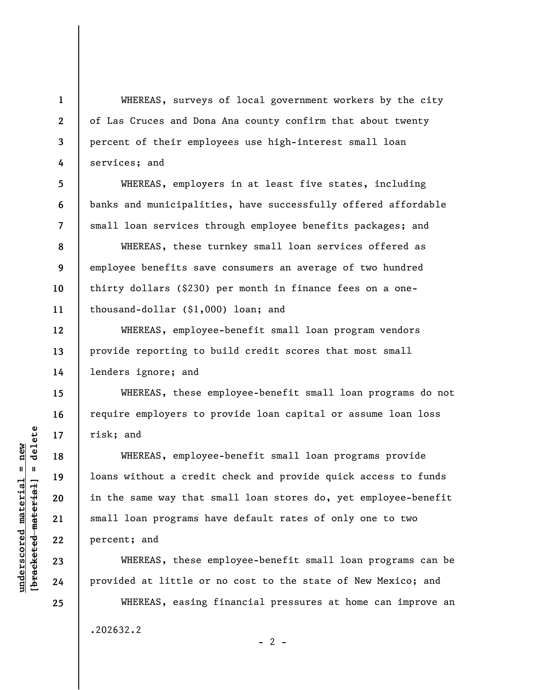WHEREAS, surveys of local government workers by the city of Las Cruces and Dona Ana county confirm that about twenty percent of their employees use high-interest small loan services; and

WHEREAS, employers in at least five states, including banks and municipalities, have successfully offered affordable small loan services through employee benefits packages; and

WHEREAS, these turnkey small loan services offered as employee benefits save consumers an average of two hundred thirty dollars (\$230) per month in finance fees on a onethousand-dollar (\$1,000) loan; and

WHEREAS, employee-benefit small loan program vendors provide reporting to build credit scores that most small lenders ignore; and

WHEREAS, these employee-benefit small loan programs do not require employers to provide loan capital or assume loan loss risk; and

WHEREAS, employee-benefit small loan programs provide loans without a credit check and provide quick access to funds in the same way that small loan stores do, yet employee-benefit small loan programs have default rates of only one to two percent; and

WHEREAS, these employee-benefit small loan programs can be provided at little or no cost to the state of New Mexico; and

WHEREAS, easing financial pressures at home can improve an .202632.2  $- 2 -$ 

 $b$ racketed material] = delete **[bracketed material] = delete**  $underscored material = new$ **underscored material = new**

**1** 

**2** 

**3** 

**4** 

**5** 

**6** 

**7** 

**8** 

**9** 

**10** 

**11** 

**12** 

**13** 

**14** 

**15** 

**16** 

**17** 

**18** 

**19** 

**20** 

**21** 

**22** 

**23** 

**24** 

**25**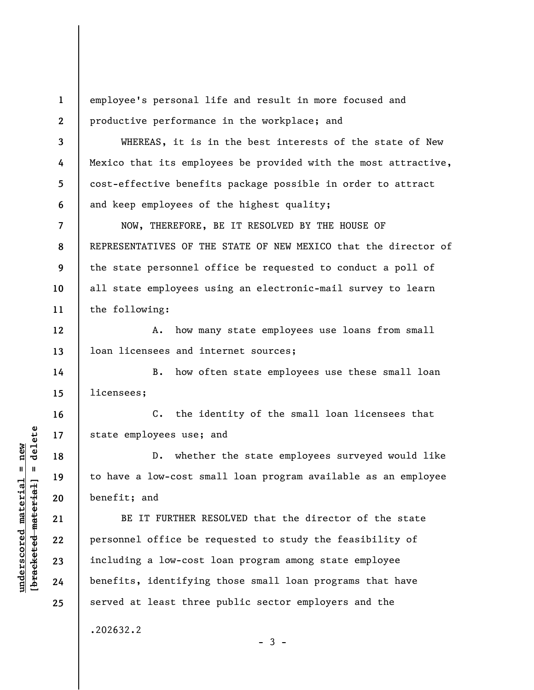**1 2**  employee's personal life and result in more focused and productive performance in the workplace; and

WHEREAS, it is in the best interests of the state of New Mexico that its employees be provided with the most attractive, cost-effective benefits package possible in order to attract and keep employees of the highest quality;

**7 8 9 10 11**  NOW, THEREFORE, BE IT RESOLVED BY THE HOUSE OF REPRESENTATIVES OF THE STATE OF NEW MEXICO that the director of the state personnel office be requested to conduct a poll of all state employees using an electronic-mail survey to learn the following:

**12 13**  A. how many state employees use loans from small loan licensees and internet sources;

B. how often state employees use these small loan licensees;

C. the identity of the small loan licensees that state employees use; and

D. whether the state employees surveyed would like to have a low-cost small loan program available as an employee benefit; and

BE IT FURTHER RESOLVED that the director of the state personnel office be requested to study the feasibility of including a low-cost loan program among state employee benefits, identifying those small loan programs that have served at least three public sector employers and the

 $-3 -$ 

.202632.2

 $\frac{1}{2}$  intereted material = delete **[bracketed material] = delete**  $underscored material = new$ **underscored material = new**

**3** 

**4** 

**5** 

**6** 

**14** 

**15** 

**16** 

**17** 

**18** 

**19** 

**20** 

**21** 

**22** 

**23** 

**24** 

**25**